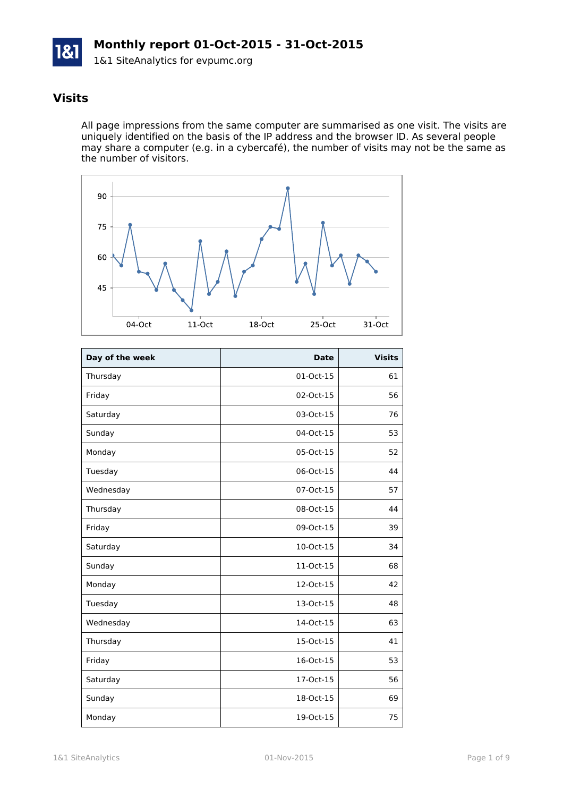

## **Visits**

All page impressions from the same computer are summarised as one visit. The visits are uniquely identified on the basis of the IP address and the browser ID. As several people may share a computer (e.g. in a cybercafé), the number of visits may not be the same as the number of visitors.



| Day of the week | <b>Date</b> | <b>Visits</b> |
|-----------------|-------------|---------------|
| Thursday        | 01-Oct-15   | 61            |
| Friday          | 02-Oct-15   | 56            |
| Saturday        | 03-Oct-15   | 76            |
| Sunday          | 04-Oct-15   | 53            |
| Monday          | 05-Oct-15   | 52            |
| Tuesday         | 06-Oct-15   | 44            |
| Wednesday       | 07-Oct-15   | 57            |
| Thursday        | 08-Oct-15   | 44            |
| Friday          | 09-Oct-15   | 39            |
| Saturday        | 10-Oct-15   | 34            |
| Sunday          | 11-Oct-15   | 68            |
| Monday          | 12-Oct-15   | 42            |
| Tuesday         | 13-Oct-15   | 48            |
| Wednesday       | 14-Oct-15   | 63            |
| Thursday        | 15-Oct-15   | 41            |
| Friday          | 16-Oct-15   | 53            |
| Saturday        | 17-Oct-15   | 56            |
| Sunday          | 18-Oct-15   | 69            |
| Monday          | 19-Oct-15   | 75            |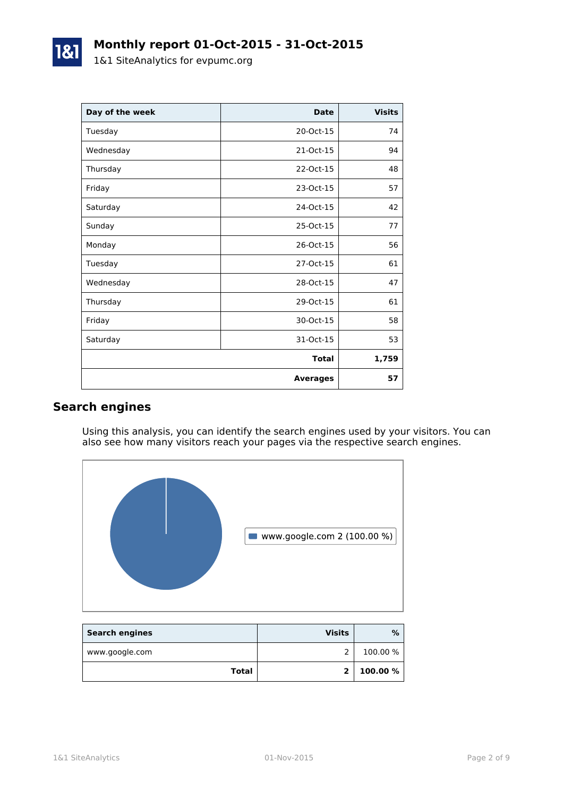| Day of the week | <b>Date</b>     | <b>Visits</b> |
|-----------------|-----------------|---------------|
| Tuesday         | 20-Oct-15       | 74            |
| Wednesday       | 21-Oct-15       | 94            |
| Thursday        | 22-Oct-15       | 48            |
| Friday          | 23-Oct-15       | 57            |
| Saturday        | 24-Oct-15       | 42            |
| Sunday          | 25-Oct-15       | 77            |
| Monday          | 26-Oct-15       | 56            |
| Tuesday         | 27-Oct-15       | 61            |
| Wednesday       | 28-Oct-15       | 47            |
| Thursday        | 29-Oct-15       | 61            |
| Friday          | 30-Oct-15       | 58            |
| Saturday        | 31-Oct-15       | 53            |
|                 | <b>Total</b>    | 1,759         |
|                 | <b>Averages</b> | 57            |

## **Search engines**

Using this analysis, you can identify the search engines used by your visitors. You can also see how many visitors reach your pages via the respective search engines.



| <b>Search engines</b> | <b>Visits</b> | %        |
|-----------------------|---------------|----------|
| www.google.com        |               | 100.00 % |
| Total                 | $\mathbf{z}$  | 100.00 % |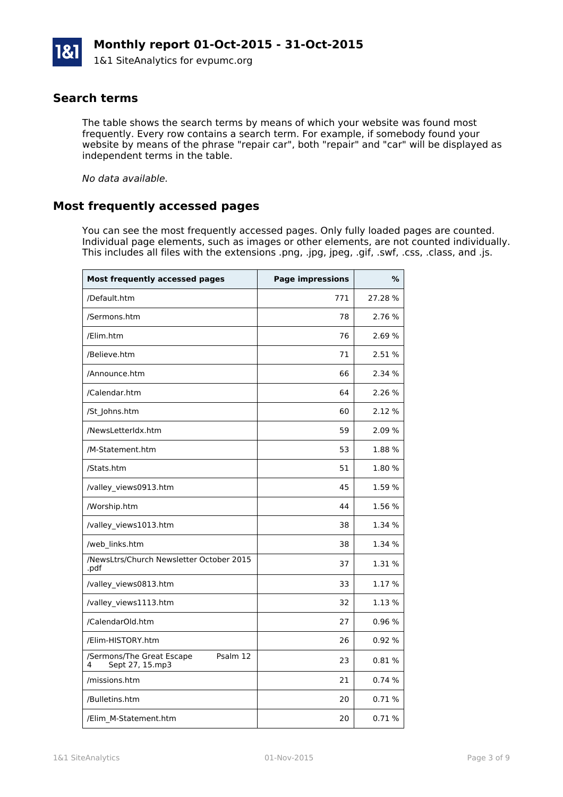### **Search terms**

The table shows the search terms by means of which your website was found most frequently. Every row contains a search term. For example, if somebody found your website by means of the phrase "repair car", both "repair" and "car" will be displayed as independent terms in the table.

*No data available.*

### **Most frequently accessed pages**

You can see the most frequently accessed pages. Only fully loaded pages are counted. Individual page elements, such as images or other elements, are not counted individually. This includes all files with the extensions .png, .jpg, jpeg, .gif, .swf, .css, .class, and .js.

| <b>Most frequently accessed pages</b>                         | <b>Page impressions</b> | %       |
|---------------------------------------------------------------|-------------------------|---------|
| /Default.htm                                                  | 771                     | 27.28 % |
| /Sermons.htm                                                  | 78                      | 2.76 %  |
| /Elim.htm                                                     | 76                      | 2.69 %  |
| /Believe.htm                                                  | 71                      | 2.51 %  |
| /Announce.htm                                                 | 66                      | 2.34 %  |
| /Calendar.htm                                                 | 64                      | 2.26 %  |
| /St_Johns.htm                                                 | 60                      | 2.12 %  |
| /NewsLetterIdx.htm                                            | 59                      | 2.09 %  |
| /M-Statement.htm                                              | 53                      | 1.88%   |
| /Stats.htm                                                    | 51                      | 1.80 %  |
| /valley_views0913.htm                                         | 45                      | 1.59 %  |
| /Worship.htm                                                  | 44                      | 1.56 %  |
| /valley views1013.htm                                         | 38                      | 1.34 %  |
| /web links.htm                                                | 38                      | 1.34 %  |
| /NewsLtrs/Church Newsletter October 2015<br>.pdf              | 37                      | 1.31 %  |
| /valley_views0813.htm                                         | 33                      | 1.17 %  |
| /valley_views1113.htm                                         | 32                      | 1.13 %  |
| /CalendarOld.htm                                              | 27                      | 0.96%   |
| /Elim-HISTORY.htm                                             | 26                      | 0.92%   |
| /Sermons/The Great Escape<br>Psalm 12<br>Sept 27, 15.mp3<br>4 | 23                      | 0.81%   |
| /missions.htm                                                 | 21                      | 0.74%   |
| /Bulletins.htm                                                | 20                      | 0.71%   |
| /Elim_M-Statement.htm                                         | 20                      | 0.71%   |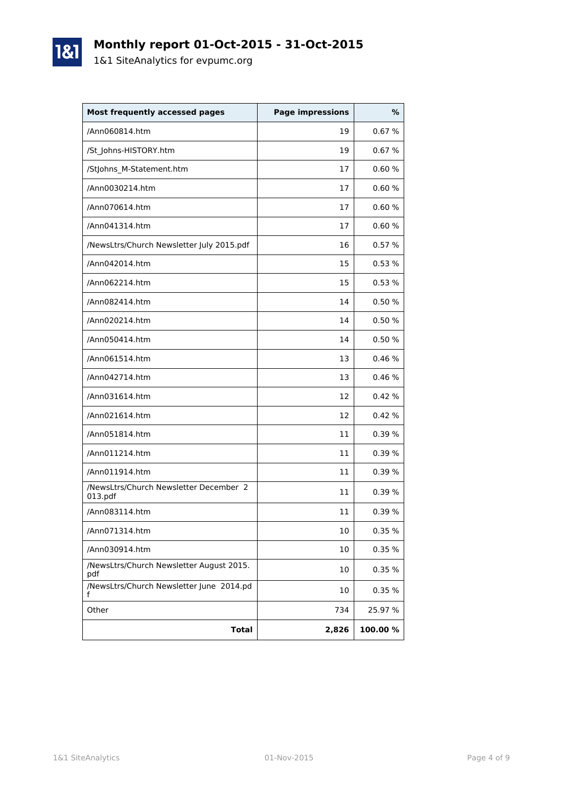

1&1

| <b>Most frequently accessed pages</b>             | <b>Page impressions</b> | %       |
|---------------------------------------------------|-------------------------|---------|
| /Ann060814.htm                                    | 19                      | 0.67%   |
| /St_Johns-HISTORY.htm                             | 19                      | 0.67%   |
| /StJohns_M-Statement.htm                          | 17                      | 0.60%   |
| /Ann0030214.htm                                   | 17                      | 0.60%   |
| /Ann070614.htm                                    | 17                      | 0.60%   |
| /Ann041314.htm                                    | 17                      | 0.60%   |
| /NewsLtrs/Church Newsletter July 2015.pdf         | 16                      | 0.57%   |
| /Ann042014.htm                                    | 15                      | 0.53%   |
| /Ann062214.htm                                    | 15                      | 0.53%   |
| /Ann082414.htm                                    | 14                      | 0.50%   |
| /Ann020214.htm                                    | 14                      | 0.50%   |
| /Ann050414.htm                                    | 14                      | 0.50%   |
| /Ann061514.htm                                    | 13                      | 0.46%   |
| /Ann042714.htm                                    | 13                      | 0.46%   |
| /Ann031614.htm                                    | 12                      | 0.42%   |
| /Ann021614.htm                                    | 12                      | 0.42%   |
| /Ann051814.htm                                    | 11                      | 0.39%   |
| /Ann011214.htm                                    | 11                      | 0.39%   |
| /Ann011914.htm                                    | 11                      | 0.39%   |
| /NewsLtrs/Church Newsletter December 2<br>013.pdf | 11                      | 0.39%   |
| /Ann083114.htm                                    | 11                      | 0.39%   |
| /Ann071314.htm                                    | 10                      | 0.35%   |
| /Ann030914.htm                                    | 10                      | 0.35 %  |
| /NewsLtrs/Church Newsletter August 2015.<br>pdf   | 10                      | 0.35 %  |
| /NewsLtrs/Church Newsletter June 2014.pd<br>f     | 10                      | 0.35 %  |
| Other                                             | 734                     | 25.97 % |
| <b>Total</b>                                      | 2,826                   | 100.00% |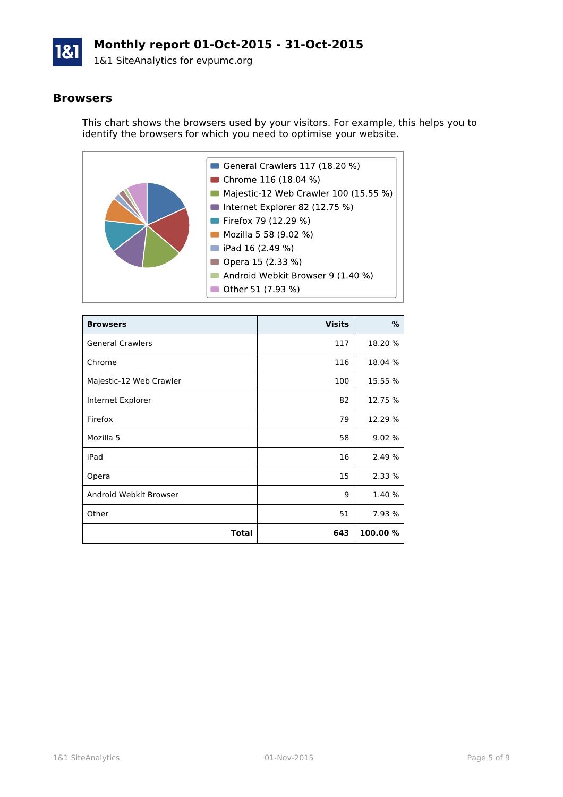

## **Monthly report 01-Oct-2015 - 31-Oct-2015**

1&1 SiteAnalytics for evpumc.org

#### **Browsers**

This chart shows the browsers used by your visitors. For example, this helps you to identify the browsers for which you need to optimise your website.



| <b>Browsers</b>         | <b>Visits</b> | %        |
|-------------------------|---------------|----------|
| <b>General Crawlers</b> | 117           | 18.20 %  |
| Chrome                  | 116           | 18.04 %  |
| Majestic-12 Web Crawler | 100           | 15.55 %  |
| Internet Explorer       | 82            | 12.75 %  |
| Firefox                 | 79            | 12.29 %  |
| Mozilla 5               | 58            | 9.02 %   |
| iPad                    | 16            | 2.49 %   |
| Opera                   | 15            | 2.33 %   |
| Android Webkit Browser  | 9             | 1.40 %   |
| Other                   | 51            | 7.93 %   |
| Total                   | 643           | 100.00 % |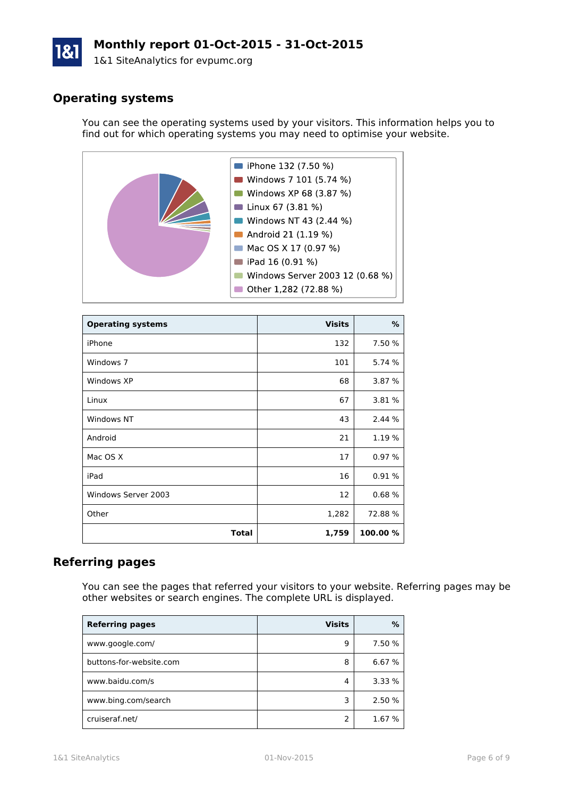# **Monthly report 01-Oct-2015 - 31-Oct-2015**

1&1 SiteAnalytics for evpumc.org

## **Operating systems**

You can see the operating systems used by your visitors. This information helps you to find out for which operating systems you may need to optimise your website.



| <b>Operating systems</b> | <b>Visits</b> | ℅        |
|--------------------------|---------------|----------|
| iPhone                   | 132           | 7.50 %   |
| Windows 7                | 101           | 5.74 %   |
| Windows XP               | 68            | 3.87 %   |
| Linux                    | 67            | 3.81 %   |
| Windows NT               | 43            | 2.44 %   |
| Android                  | 21            | 1.19 %   |
| Mac OS X                 | 17            | 0.97%    |
| iPad                     | 16            | 0.91%    |
| Windows Server 2003      | 12            | 0.68%    |
| Other                    | 1,282         | 72.88%   |
| Total                    | 1,759         | 100.00 % |

### **Referring pages**

You can see the pages that referred your visitors to your website. Referring pages may be other websites or search engines. The complete URL is displayed.

| <b>Referring pages</b>  | <b>Visits</b> | %      |
|-------------------------|---------------|--------|
| www.google.com/         | q             | 7.50 % |
| buttons-for-website.com | 8             | 6.67 % |
| www.baidu.com/s         | 4             | 3.33%  |
| www.bing.com/search     | 3             | 2.50 % |
| cruiseraf.net/          |               | 1.67 % |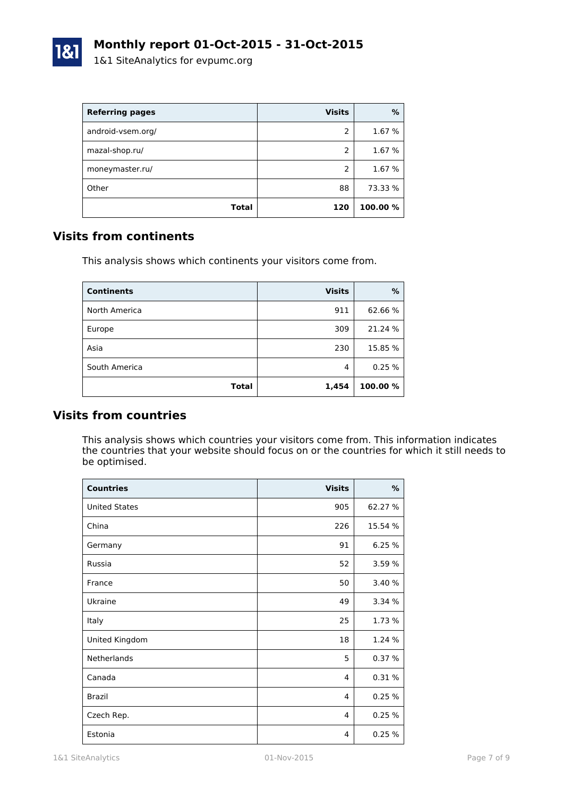

| <b>Referring pages</b> | <b>Visits</b> | %        |
|------------------------|---------------|----------|
| android-vsem.org/      | 2             | 1.67 %   |
| mazal-shop.ru/         | 2             | 1.67 %   |
| moneymaster.ru/        | $\mathcal{P}$ | 1.67 %   |
| Other                  | 88            | 73.33 %  |
| Total                  | 120           | 100.00 % |

### **Visits from continents**

This analysis shows which continents your visitors come from.

| <b>Continents</b> | <b>Visits</b> | %        |
|-------------------|---------------|----------|
| North America     | 911           | 62.66%   |
| Europe            | 309           | 21.24 %  |
| Asia              | 230           | 15.85 %  |
| South America     | 4             | 0.25%    |
| <b>Total</b>      | 1,454         | 100.00 % |

### **Visits from countries**

This analysis shows which countries your visitors come from. This information indicates the countries that your website should focus on or the countries for which it still needs to be optimised.

| <b>Countries</b>     | <b>Visits</b> | $\%$    |
|----------------------|---------------|---------|
| <b>United States</b> | 905           | 62.27 % |
| China                | 226           | 15.54 % |
| Germany              | 91            | 6.25%   |
| Russia               | 52            | 3.59 %  |
| France               | 50            | 3.40 %  |
| Ukraine              | 49            | 3.34 %  |
| Italy                | 25            | 1.73 %  |
| United Kingdom       | 18            | 1.24 %  |
| Netherlands          | 5             | 0.37%   |
| Canada               | 4             | 0.31%   |
| <b>Brazil</b>        | 4             | 0.25%   |
| Czech Rep.           | 4             | 0.25%   |
| Estonia              | 4             | 0.25%   |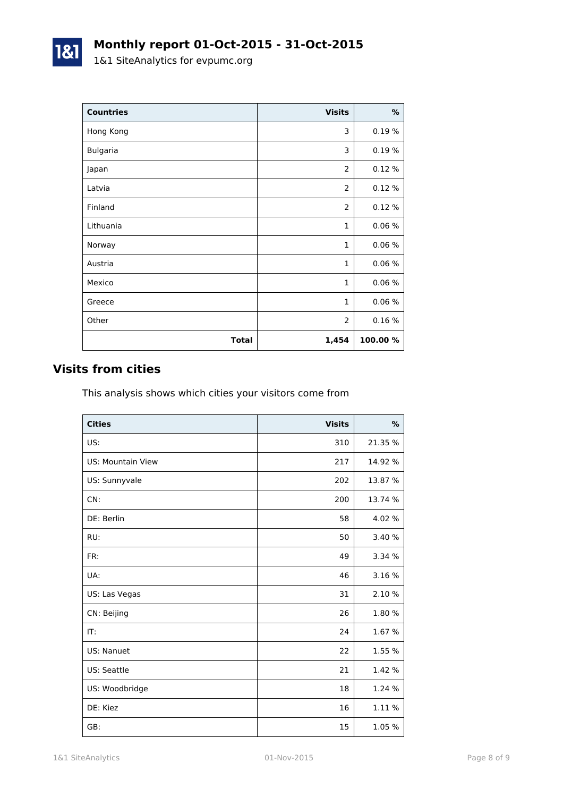| <b>Countries</b> | <b>Visits</b>  | $\%$    |
|------------------|----------------|---------|
| Hong Kong        | 3              | 0.19%   |
| <b>Bulgaria</b>  | 3              | 0.19%   |
| Japan            | 2              | 0.12%   |
| Latvia           | 2              | 0.12%   |
| Finland          | $\overline{2}$ | 0.12%   |
| Lithuania        | $\mathbf{1}$   | 0.06%   |
| Norway           | $\mathbf{1}$   | 0.06%   |
| Austria          | $\mathbf{1}$   | 0.06%   |
| Mexico           | $\mathbf{1}$   | 0.06%   |
| Greece           | $\mathbf{1}$   | 0.06%   |
| Other            | 2              | 0.16%   |
| <b>Total</b>     | 1,454          | 100.00% |

# **Visits from cities**

1&1

This analysis shows which cities your visitors come from

| <b>Cities</b>            | <b>Visits</b> | %       |
|--------------------------|---------------|---------|
| US:                      | 310           | 21.35 % |
| <b>US: Mountain View</b> | 217           | 14.92 % |
| US: Sunnyvale            | 202           | 13.87 % |
| CN:                      | 200           | 13.74 % |
| DE: Berlin               | 58            | 4.02 %  |
| RU:                      | 50            | 3.40 %  |
| FR:                      | 49            | 3.34 %  |
| UA:                      | 46            | 3.16 %  |
| US: Las Vegas            | 31            | 2.10 %  |
| CN: Beijing              | 26            | 1.80%   |
| IT:                      | 24            | 1.67 %  |
| US: Nanuet               | 22            | 1.55 %  |
| US: Seattle              | 21            | 1.42 %  |
| US: Woodbridge           | 18            | 1.24 %  |
| DE: Kiez                 | 16            | 1.11 %  |
| GB:                      | 15            | 1.05 %  |